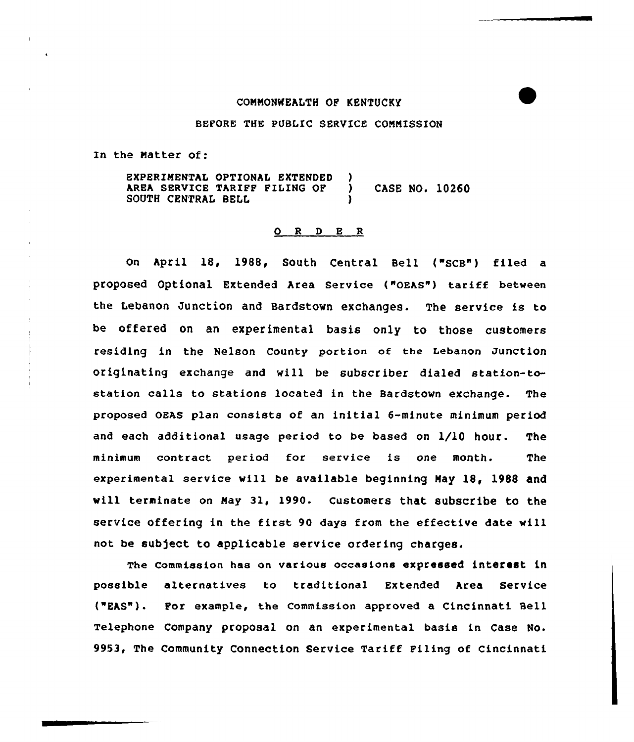## CONNONNEALTH OF KENTUCKY

## BEFORE THE PUBLIC SERVICE CONNISSION

In the Natter of:

EXPERIMENTAL OPTIONAL EXTENDED )<br>AREA SERVICE TARIFF FILING OF ) AREA SERVICE TARIFF FILING OF ) CASE NO. 10260 SOUTH CENTRAL BELL

## O R D E R

On APril 18, 1988, SOuth Central Bell ("SCB") filed a proposed Optional Extended Area Service ("OEAS") tariff between the Lebanon Junction and Bardstovn exchanges. The service is to be offered on an experimental basis only to those customers residing in the Nelson County portion of the Lebanon Junction originating exchange and vill be subscriber dialed station-tostation calls to stations located in the Bardstovn exchange. The proposed 0EAs plan consists of an initial 6-minute minimum period and each additional usage period to be based on 1/10 hour. The minimum contract period for service is one month. The experimental service vill be available beginning Nay 18, 1988 and vill terminate on Nay 3l, 199Q. customers that subscribe to the service offering in the first 90 days from the effective date will not be sub)ect to applicable service ordering charges.

The commission has on various occasions expressed interest in possible alternatives to traditional Extended Area Service ("EAS"). For example, the Commission approved a Cincinnati Bell Telephone Company proposal on an experimental basis in Case No. 9953, The Community Connection Service Tariff Filing of Cincinnati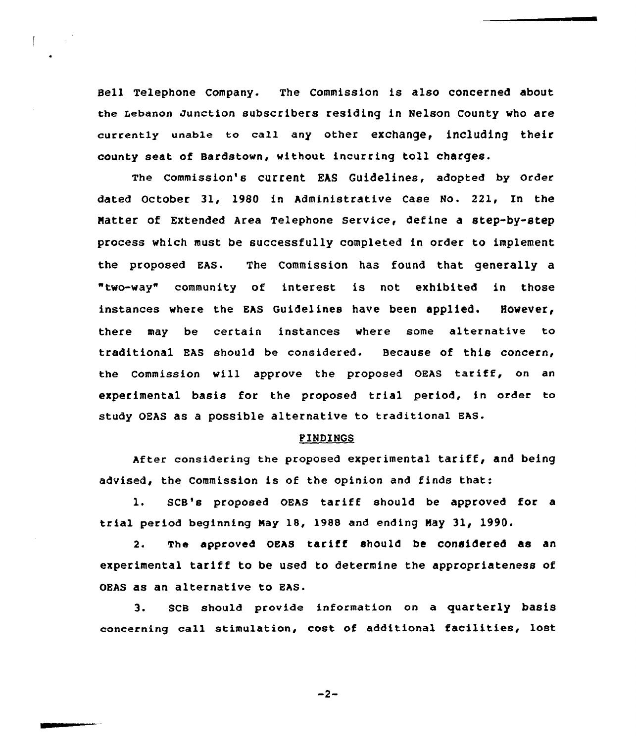Bell Telephone Company. The Commission is also concerned about the Lebanon Junction subscribers residing in Nelson County who are currently unable to call any other exchange, including their county seat of Bardstown, without incurring toll charges.

The Commission's current EAS Guidelines, adopted by Order dated October 31, 1980 in Administrative Case No. 221, In the Natter of Extended Area Telephone Service, define a step-by-step process which must be successfully completed in order to implement the proposed EAS. The Commission has found that generally a "two-way" community of interest is not exhibited in those instances where the EAS Guidelines have been applied. However, there may be certain instances where some alternative to traditional EAS should be considered. Because of this concern, the Commission will approve the proposed OEAS tariff, on an experimental basis for the proposed trial period, in order to study 0EAs as a possible alternative to traditional EAs.

## FINDINGS

After considering the proposed experimental tariff, and being advised, the Commission is of the opinion and finds that:

1. SCB's proposed OEAS tariff should be approved for <sup>a</sup> trial period beginning May 18, 1988 and ending May 31, 1990.

2. The approved OEAS tariff should be considered as an experimental tariff to be used to determine the appropriateness of OEAS as an alternative to EAS.

3. scB should provide information on a quarterly basis concerning call stimulation, cost of additional facilities, lost

 $-2-$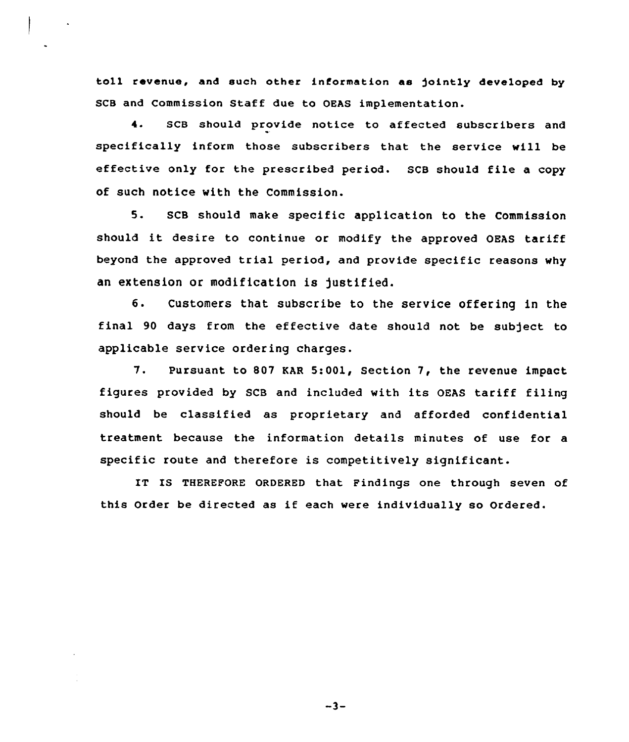toll revenue, and such other information as jointly developed by SCB and Commission Staff due to OEAS implementation.

4. SCB should provide notice to affected subscribers and specifically inform those subscribers that the service will be effective only for the prescribed period. SCB should file <sup>a</sup> copy of such notice with the Commission.

5. SCB should make specific application to the Commission should it desire to continue or modify the approved OEAS tariff beyond the approved trial period, and provide specific reasons why an extension or modification is justified.

6. Customers that subscribe to the service offering in the final 90 days from the effective date should not be subject to applicable service ordering charges.

7. Pursuant to 807 KAR 5:001, Section 7, the revenue impact figures provided by SCB and included with its OEAS tariff filing should be classified as proprietary and afforded confidential treatment because the information details minutes of use for a specific route and therefore is competitively significant.

IT IS THEREFORE ORDERED that Findings one through seven of this Order be directed as if each were individually so Ordered.

 $-3-$